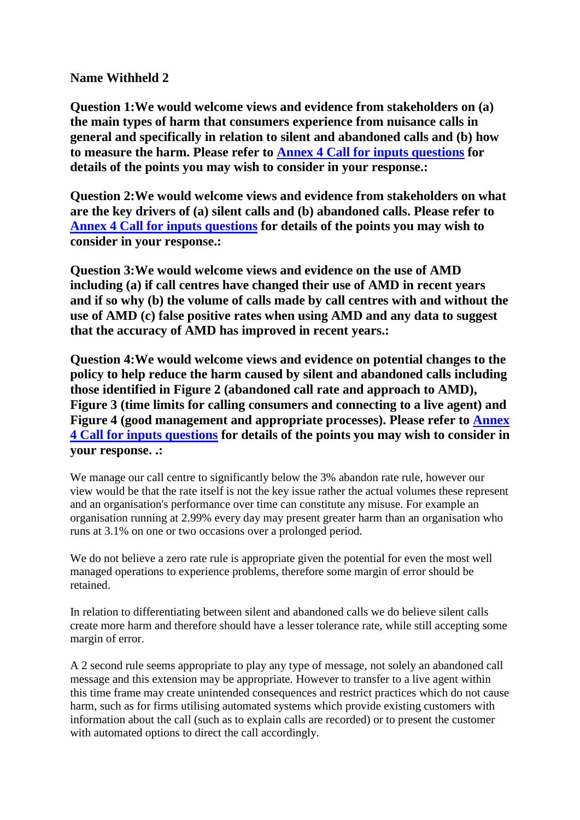## **Name Withheld 2**

**Question 1:We would welcome views and evidence from stakeholders on (a) the main types of harm that consumers experience from nuisance calls in general and specifically in relation to silent and abandoned calls and (b) how to measure the harm. Please refer to Annex 4 Call for inputs questions for details of the points you may wish to consider in your response.:**

**Question 2:We would welcome views and evidence from stakeholders on what are the key drivers of (a) silent calls and (b) abandoned calls. Please refer to Annex 4 Call for inputs questions for details of the points you may wish to consider in your response.:**

**Question 3:We would welcome views and evidence on the use of AMD including (a) if call centres have changed their use of AMD in recent years and if so why (b) the volume of calls made by call centres with and without the use of AMD (c) false positive rates when using AMD and any data to suggest that the accuracy of AMD has improved in recent years.:**

**Question 4:We would welcome views and evidence on potential changes to the policy to help reduce the harm caused by silent and abandoned calls including those identified in Figure 2 (abandoned call rate and approach to AMD), Figure 3 (time limits for calling consumers and connecting to a live agent) and Figure 4 (good management and appropriate processes). Please refer to Annex 4 Call for inputs questions for details of the points you may wish to consider in your response. .:**

We manage our call centre to significantly below the 3% abandon rate rule, however our view would be that the rate itself is not the key issue rather the actual volumes these represent and an organisation's performance over time can constitute any misuse. For example an organisation running at 2.99% every day may present greater harm than an organisation who runs at 3.1% on one or two occasions over a prolonged period.

We do not believe a zero rate rule is appropriate given the potential for even the most well managed operations to experience problems, therefore some margin of error should be retained.

In relation to differentiating between silent and abandoned calls we do believe silent calls create more harm and therefore should have a lesser tolerance rate, while still accepting some margin of error.

A 2 second rule seems appropriate to play any type of message, not solely an abandoned call message and this extension may be appropriate. However to transfer to a live agent within this time frame may create unintended consequences and restrict practices which do not cause harm, such as for firms utilising automated systems which provide existing customers with information about the call (such as to explain calls are recorded) or to present the customer with automated options to direct the call accordingly.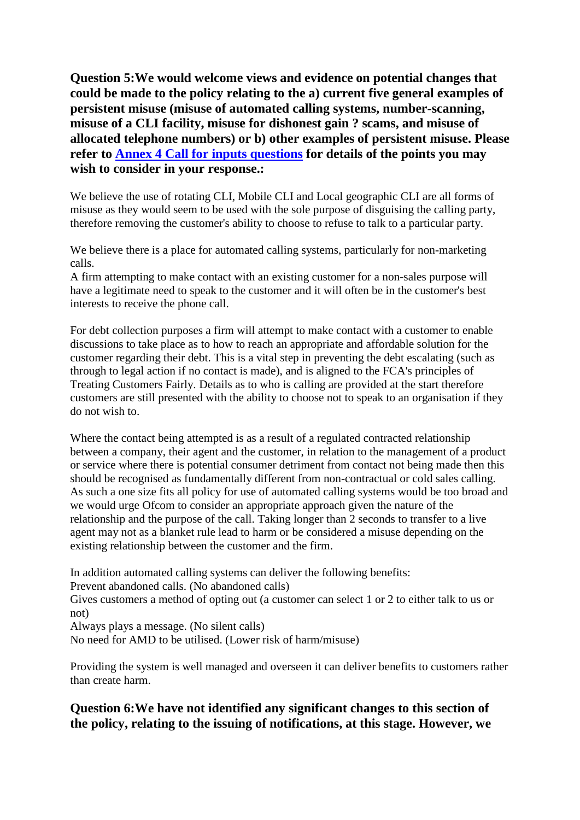**Question 5:We would welcome views and evidence on potential changes that could be made to the policy relating to the a) current five general examples of persistent misuse (misuse of automated calling systems, number-scanning, misuse of a CLI facility, misuse for dishonest gain ? scams, and misuse of allocated telephone numbers) or b) other examples of persistent misuse. Please refer to Annex 4 Call for inputs questions for details of the points you may wish to consider in your response.:**

We believe the use of rotating CLI, Mobile CLI and Local geographic CLI are all forms of misuse as they would seem to be used with the sole purpose of disguising the calling party, therefore removing the customer's ability to choose to refuse to talk to a particular party.

We believe there is a place for automated calling systems, particularly for non-marketing calls.

A firm attempting to make contact with an existing customer for a non-sales purpose will have a legitimate need to speak to the customer and it will often be in the customer's best interests to receive the phone call.

For debt collection purposes a firm will attempt to make contact with a customer to enable discussions to take place as to how to reach an appropriate and affordable solution for the customer regarding their debt. This is a vital step in preventing the debt escalating (such as through to legal action if no contact is made), and is aligned to the FCA's principles of Treating Customers Fairly. Details as to who is calling are provided at the start therefore customers are still presented with the ability to choose not to speak to an organisation if they do not wish to.

Where the contact being attempted is as a result of a regulated contracted relationship between a company, their agent and the customer, in relation to the management of a product or service where there is potential consumer detriment from contact not being made then this should be recognised as fundamentally different from non-contractual or cold sales calling. As such a one size fits all policy for use of automated calling systems would be too broad and we would urge Ofcom to consider an appropriate approach given the nature of the relationship and the purpose of the call. Taking longer than 2 seconds to transfer to a live agent may not as a blanket rule lead to harm or be considered a misuse depending on the existing relationship between the customer and the firm.

In addition automated calling systems can deliver the following benefits:

Prevent abandoned calls. (No abandoned calls)

Gives customers a method of opting out (a customer can select 1 or 2 to either talk to us or not)

Always plays a message. (No silent calls)

No need for AMD to be utilised. (Lower risk of harm/misuse)

Providing the system is well managed and overseen it can deliver benefits to customers rather than create harm.

## **Question 6:We have not identified any significant changes to this section of the policy, relating to the issuing of notifications, at this stage. However, we**